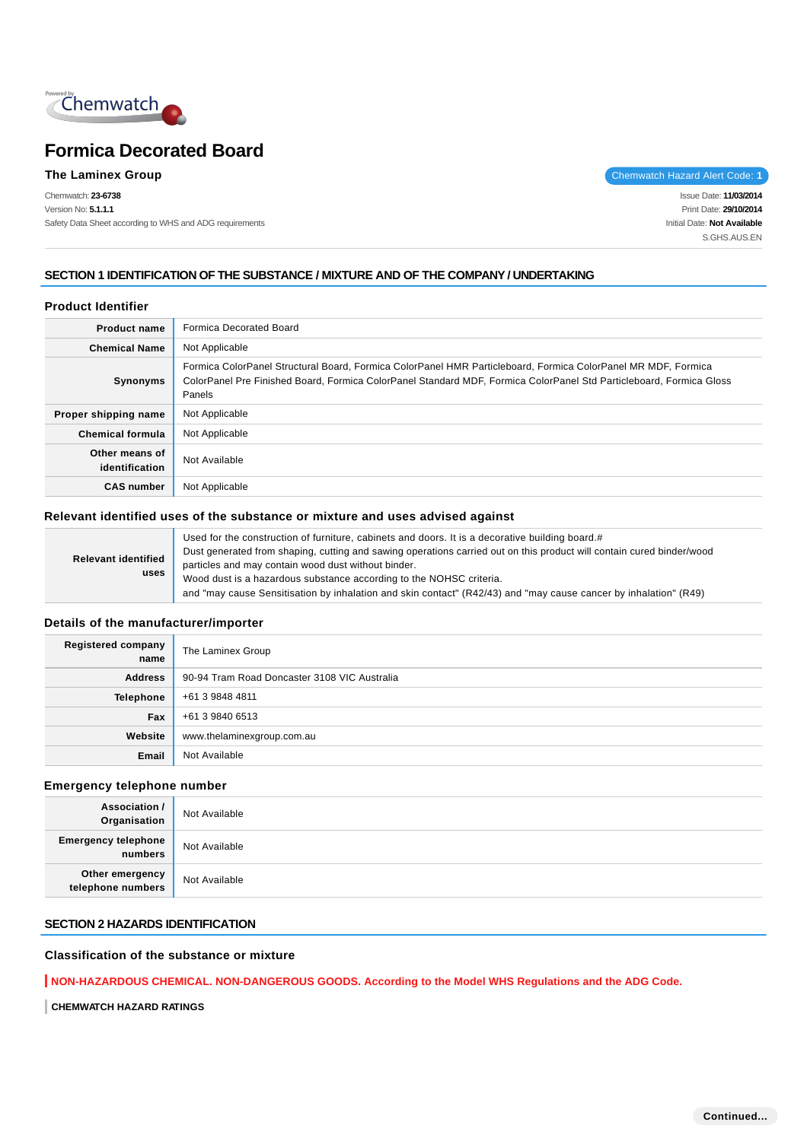

Chemwatch: **23-6738** Version No: **5.1.1.1** Safety Data Sheet according to WHS and ADG requirements

**The Laminex Group** Chemwatch Hazard Alert Code: 1

Issue Date: **11/03/2014** Print Date: **29/10/2014** Initial Date: **Not Available** S.GHS.AUS.EN

# **SECTION 1 IDENTIFICATION OF THE SUBSTANCE / MIXTURE AND OF THE COMPANY / UNDERTAKING**

# **Product Identifier**

| <b>Product name</b>              | Formica Decorated Board                                                                                                                                                                                                                        |
|----------------------------------|------------------------------------------------------------------------------------------------------------------------------------------------------------------------------------------------------------------------------------------------|
| <b>Chemical Name</b>             | Not Applicable                                                                                                                                                                                                                                 |
| Synonyms                         | Formica ColorPanel Structural Board, Formica ColorPanel HMR Particleboard, Formica ColorPanel MR MDF, Formica<br>ColorPanel Pre Finished Board, Formica ColorPanel Standard MDF, Formica ColorPanel Std Particleboard, Formica Gloss<br>Panels |
| Proper shipping name             | Not Applicable                                                                                                                                                                                                                                 |
| <b>Chemical formula</b>          | Not Applicable                                                                                                                                                                                                                                 |
| Other means of<br>identification | Not Available                                                                                                                                                                                                                                  |
| <b>CAS number</b>                | Not Applicable                                                                                                                                                                                                                                 |

#### **Relevant identified uses of the substance or mixture and uses advised against**

| <b>Relevant identified</b><br>uses | Used for the construction of furniture, cabinets and doors. It is a decorative building board.#                       |
|------------------------------------|-----------------------------------------------------------------------------------------------------------------------|
|                                    | Dust generated from shaping, cutting and sawing operations carried out on this product will contain cured binder/wood |
|                                    | particles and may contain wood dust without binder.                                                                   |
|                                    | Wood dust is a hazardous substance according to the NOHSC criteria.                                                   |
|                                    | and "may cause Sensitisation by inhalation and skin contact" (R42/43) and "may cause cancer by inhalation" (R49)      |

#### **Details of the manufacturer/importer**

| Registered company<br>name | The Laminex Group                            |
|----------------------------|----------------------------------------------|
| <b>Address</b>             | 90-94 Tram Road Doncaster 3108 VIC Australia |
| Telephone                  | +61 3 9848 4811                              |
| Fax                        | +61 3 9840 6513                              |
| Website                    | www.thelaminexgroup.com.au                   |
| Email                      | Not Available                                |

## **Emergency telephone number**

| <b>Association /</b><br>Organisation  | Not Available |
|---------------------------------------|---------------|
| <b>Emergency telephone</b><br>numbers | Not Available |
| Other emergency<br>telephone numbers  | Not Available |

#### **SECTION 2 HAZARDS IDENTIFICATION**

# **Classification of the substance or mixture**

**NON-HAZARDOUS CHEMICAL. NON-DANGEROUS GOODS. According to the Model WHS Regulations and the ADG Code.**

**CHEMWATCH HAZARD RATINGS**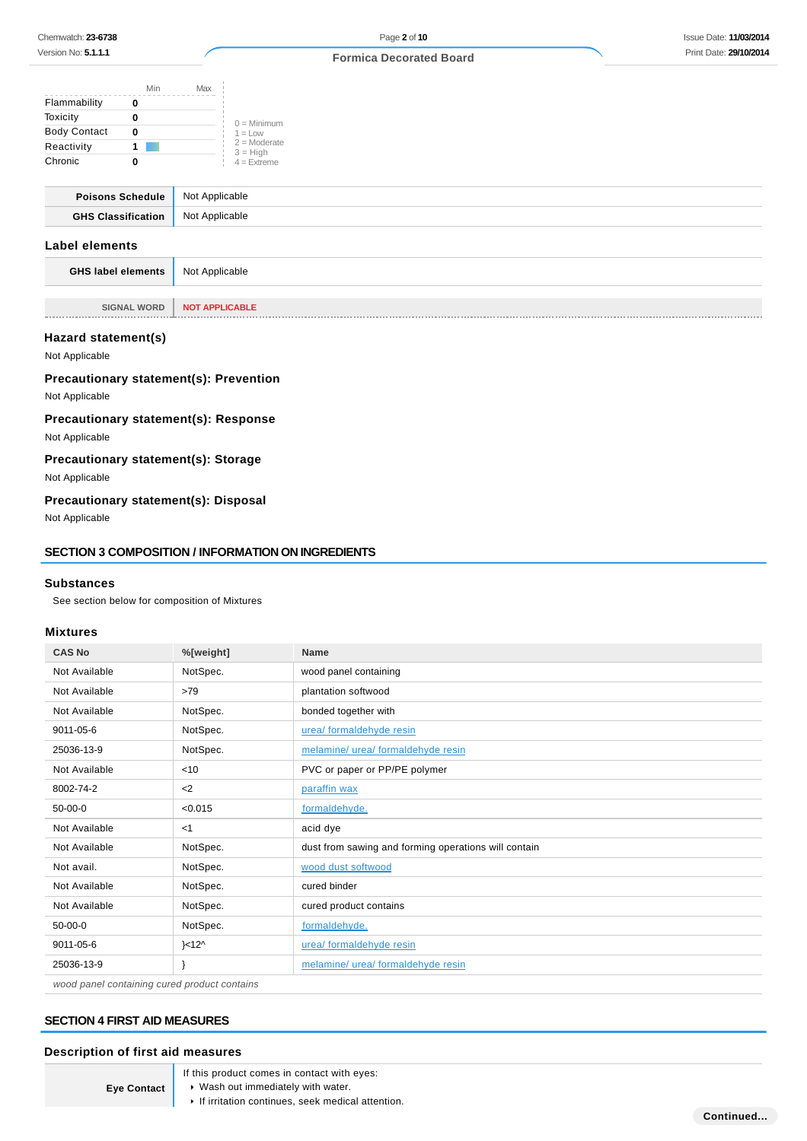|                         | Min            | Max            |                             |
|-------------------------|----------------|----------------|-----------------------------|
| Flammability            | 0              |                |                             |
| Toxicity                | 0              |                |                             |
| <b>Body Contact</b>     | 0              |                |                             |
| Reactivity              | 1 <sup>1</sup> |                |                             |
| Chronic                 | 0              |                | $3 = High$<br>$4 =$ Extreme |
|                         |                |                |                             |
| <b>Poisons Schedule</b> |                | Not Applicable |                             |

# **GHS Classification** Not Applicable **Label elements**

| <b>GHS label elements</b> Not Applicable |                              |  |
|------------------------------------------|------------------------------|--|
|                                          |                              |  |
|                                          | SIGNAL WORD   NOT APPLICABLE |  |

#### **Hazard statement(s)**

Not Applicable

**Precautionary statement(s): Prevention**

Not Applicable

# **Precautionary statement(s): Response**

Not Applicable

# **Precautionary statement(s): Storage**

Not Applicable

# **Precautionary statement(s): Disposal**

Not Applicable

#### **SECTION 3 COMPOSITION / INFORMATION ON INGREDIENTS**

#### **Substances**

See section below for composition of Mixtures

### **Mixtures**

| <b>CAS No</b> | %[weight]         | <b>Name</b>                                          |
|---------------|-------------------|------------------------------------------------------|
| Not Available | NotSpec.          | wood panel containing                                |
| Not Available | >79               | plantation softwood                                  |
| Not Available | NotSpec.          | bonded together with                                 |
| 9011-05-6     | NotSpec.          | urea/ formaldehyde resin                             |
| 25036-13-9    | NotSpec.          | melamine/ urea/ formaldehyde resin                   |
| Not Available | < 10              | PVC or paper or PP/PE polymer                        |
| 8002-74-2     | $2$               | paraffin wax                                         |
| $50-00-0$     | < 0.015           | formaldehyde.                                        |
| Not Available | <1                | acid dye                                             |
| Not Available | NotSpec.          | dust from sawing and forming operations will contain |
| Not avail.    | NotSpec.          | wood dust softwood                                   |
| Not Available | NotSpec.          | cured binder                                         |
| Not Available | NotSpec.          | cured product contains                               |
| $50-00-0$     | NotSpec.          | formaldehyde.                                        |
| 9011-05-6     | $\ge 12^{\wedge}$ | urea/ formaldehyde resin                             |
| 25036-13-9    |                   | melamine/ urea/ formaldehyde resin                   |

wood panel containing cured product contains

# **SECTION 4 FIRST AID MEASURES**

#### **Description of first aid measures**

**Eye Contact**

- If this product comes in contact with eyes:
- Wash out immediately with water.
	- $\blacktriangleright$  If irritation continues, seek medical attention.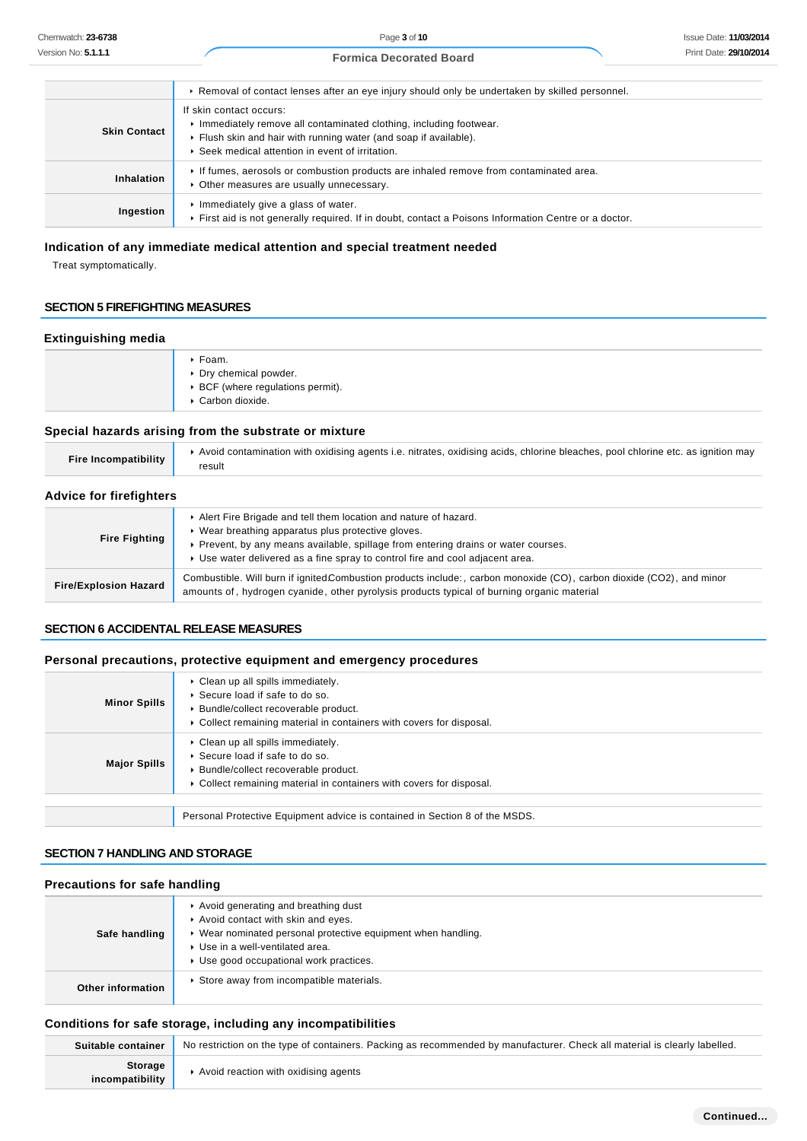Page **3** of **10 Formica Decorated Board**

|                     | ► Removal of contact lenses after an eye injury should only be undertaken by skilled personnel.                                                                                                                     |
|---------------------|---------------------------------------------------------------------------------------------------------------------------------------------------------------------------------------------------------------------|
| <b>Skin Contact</b> | If skin contact occurs:<br>Immediately remove all contaminated clothing, including footwear.<br>Flush skin and hair with running water (and soap if available).<br>▶ Seek medical attention in event of irritation. |
| Inhalation          | If fumes, aerosols or combustion products are inhaled remove from contaminated area.<br>• Other measures are usually unnecessary.                                                                                   |
| Ingestion           | Immediately give a glass of water.<br>First aid is not generally required. If in doubt, contact a Poisons Information Centre or a doctor.                                                                           |

# **Indication of any immediate medical attention and special treatment needed**

Treat symptomatically.

# **SECTION 5 FIREFIGHTING MEASURES**

#### **Extinguishing media**

| ▶ Foam.<br>▶ Dry chemical powder.<br>▶ BCF (where regulations permit).<br>Carbon dioxide. |
|-------------------------------------------------------------------------------------------|
|-------------------------------------------------------------------------------------------|

# **Special hazards arising from the substrate or mixture**

| <b>Fire Incompatibility</b>    | Avoid contamination with oxidising agents i.e. nitrates, oxidising acids, chlorine bleaches, pool chlorine etc. as ignition may<br>result                                                                                                                                                    |  |  |
|--------------------------------|----------------------------------------------------------------------------------------------------------------------------------------------------------------------------------------------------------------------------------------------------------------------------------------------|--|--|
| <b>Advice for firefighters</b> |                                                                                                                                                                                                                                                                                              |  |  |
| <b>Fire Fighting</b>           | Alert Fire Brigade and tell them location and nature of hazard.<br>• Wear breathing apparatus plus protective gloves.<br>▶ Prevent, by any means available, spillage from entering drains or water courses.<br>► Use water delivered as a fine spray to control fire and cool adjacent area. |  |  |
| <b>Fire/Explosion Hazard</b>   | Combustible. Will burn if ignited Combustion products include:, carbon monoxide (CO), carbon dioxide (CO2), and minor<br>amounts of, hydrogen cyanide, other pyrolysis products typical of burning organic material                                                                          |  |  |

#### **SECTION 6 ACCIDENTAL RELEASE MEASURES**

#### **Personal precautions, protective equipment and emergency procedures**

| <b>Minor Spills</b> | Clean up all spills immediately.<br>▶ Secure load if safe to do so.<br>▶ Bundle/collect recoverable product.<br>• Collect remaining material in containers with covers for disposal.   |
|---------------------|----------------------------------------------------------------------------------------------------------------------------------------------------------------------------------------|
| <b>Major Spills</b> | • Clean up all spills immediately.<br>▶ Secure load if safe to do so.<br>▶ Bundle/collect recoverable product.<br>• Collect remaining material in containers with covers for disposal. |
|                     | Personal Protective Equipment advice is contained in Section 8 of the MSDS.                                                                                                            |

## **SECTION 7 HANDLING AND STORAGE**

#### **Precautions for safe handling**

| Safe handling     | Avoid generating and breathing dust<br>Avoid contact with skin and eyes.<br>▶ Wear nominated personal protective equipment when handling.<br>▶ Use in a well-ventilated area.<br>▶ Use good occupational work practices. |
|-------------------|--------------------------------------------------------------------------------------------------------------------------------------------------------------------------------------------------------------------------|
| Other information | ▶ Store away from incompatible materials.                                                                                                                                                                                |

# **Conditions for safe storage, including any incompatibilities**

| Suitable container         | No restriction on the type of containers. Packing as recommended by manufacturer. Check all material is clearly labelled. |
|----------------------------|---------------------------------------------------------------------------------------------------------------------------|
| Storage<br>incompatibility | Avoid reaction with oxidising agents                                                                                      |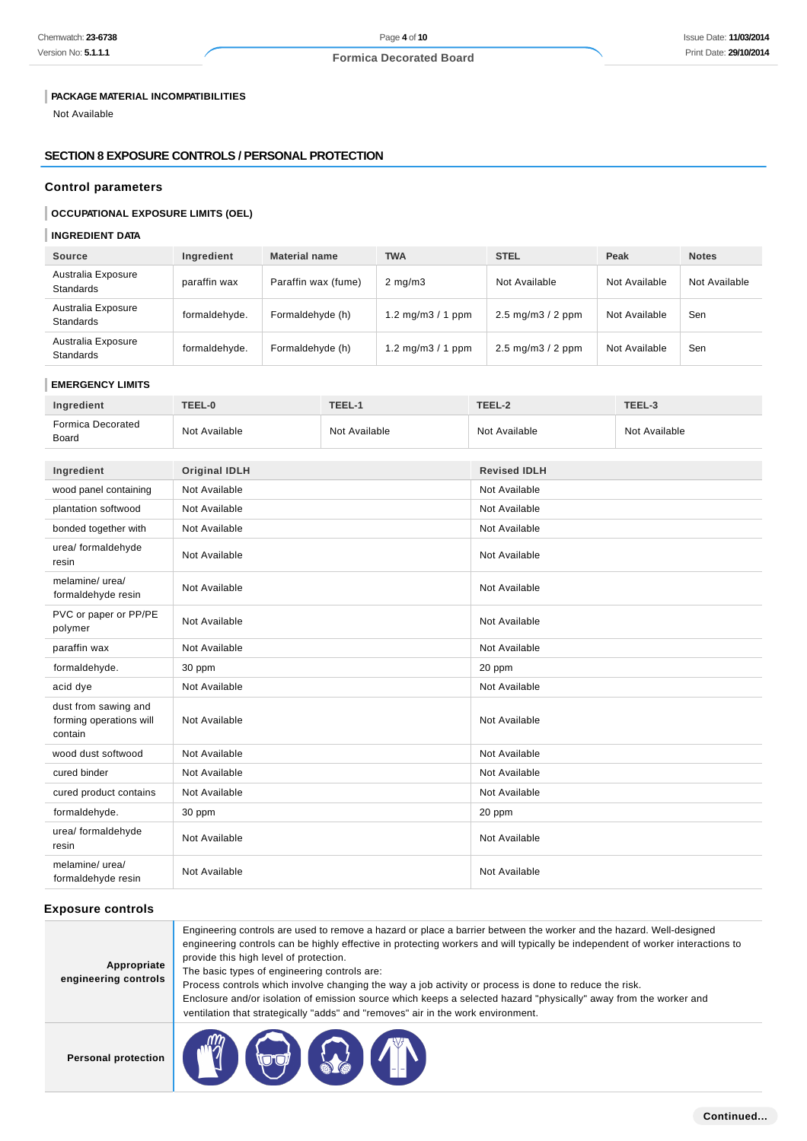# **PACKAGE MATERIAL INCOMPATIBILITIES**

Not Available

# **SECTION 8 EXPOSURE CONTROLS / PERSONAL PROTECTION**

# **Control parameters**

# **OCCUPATIONAL EXPOSURE LIMITS (OEL)**

# **INGREDIENT DATA**

| Source                                 | Ingredient    | <b>Material name</b> | <b>TWA</b>         | <b>STEL</b>                            | Peak          | <b>Notes</b>  |
|----------------------------------------|---------------|----------------------|--------------------|----------------------------------------|---------------|---------------|
| Australia Exposure<br><b>Standards</b> | paraffin wax  | Paraffin wax (fume)  | $2 \text{ mg/m}$   | Not Available                          | Not Available | Not Available |
| Australia Exposure<br><b>Standards</b> | formaldehyde. | Formaldehyde (h)     | 1.2 mg/m $3/1$ ppm | $2.5 \text{ mg/m}3 / 2 \text{ ppm}$    | Not Available | Sen           |
| Australia Exposure<br><b>Standards</b> | formaldehyde. | Formaldehyde (h)     | 1.2 mg/m $3/1$ ppm | $2.5 \text{ mg/m}$ $3 / 2 \text{ ppm}$ | Not Available | Sen           |

#### **EMERGENCY LIMITS**

| Ingredient                                                 | TEEL-0               | TEEL-1        | TEEL-2              | TEEL-3        |
|------------------------------------------------------------|----------------------|---------------|---------------------|---------------|
| <b>Formica Decorated</b><br>Board                          | Not Available        | Not Available | Not Available       | Not Available |
|                                                            |                      |               |                     |               |
| Ingredient                                                 | <b>Original IDLH</b> |               | <b>Revised IDLH</b> |               |
| wood panel containing                                      | Not Available        |               | Not Available       |               |
| plantation softwood                                        | Not Available        |               | Not Available       |               |
| bonded together with                                       | Not Available        |               | Not Available       |               |
| urea/ formaldehyde<br>resin                                | Not Available        |               | Not Available       |               |
| melamine/ urea/<br>formaldehyde resin                      | Not Available        |               | Not Available       |               |
| PVC or paper or PP/PE<br>polymer                           | Not Available        |               | Not Available       |               |
| paraffin wax                                               | Not Available        |               | Not Available       |               |
| formaldehyde.                                              | 30 ppm               |               | 20 ppm              |               |
| acid dye                                                   | Not Available        |               | Not Available       |               |
| dust from sawing and<br>forming operations will<br>contain | Not Available        |               | Not Available       |               |
| wood dust softwood                                         | Not Available        |               | Not Available       |               |
| cured binder                                               | Not Available        |               | Not Available       |               |
| cured product contains                                     | Not Available        |               | Not Available       |               |
| formaldehyde.                                              | 30 ppm               |               | 20 ppm              |               |
| urea/ formaldehyde<br>resin                                | Not Available        |               | Not Available       |               |
| melamine/ urea/<br>formaldehyde resin                      | Not Available        |               | Not Available       |               |

# **Exposure controls**

| Appropriate<br>engineering controls | Engineering controls are used to remove a hazard or place a barrier between the worker and the hazard. Well-designed<br>engineering controls can be highly effective in protecting workers and will typically be independent of worker interactions to<br>provide this high level of protection.<br>The basic types of engineering controls are:<br>Process controls which involve changing the way a job activity or process is done to reduce the risk.<br>Enclosure and/or isolation of emission source which keeps a selected hazard "physically" away from the worker and<br>ventilation that strategically "adds" and "removes" air in the work environment. |
|-------------------------------------|--------------------------------------------------------------------------------------------------------------------------------------------------------------------------------------------------------------------------------------------------------------------------------------------------------------------------------------------------------------------------------------------------------------------------------------------------------------------------------------------------------------------------------------------------------------------------------------------------------------------------------------------------------------------|
| <b>Personal protection</b>          |                                                                                                                                                                                                                                                                                                                                                                                                                                                                                                                                                                                                                                                                    |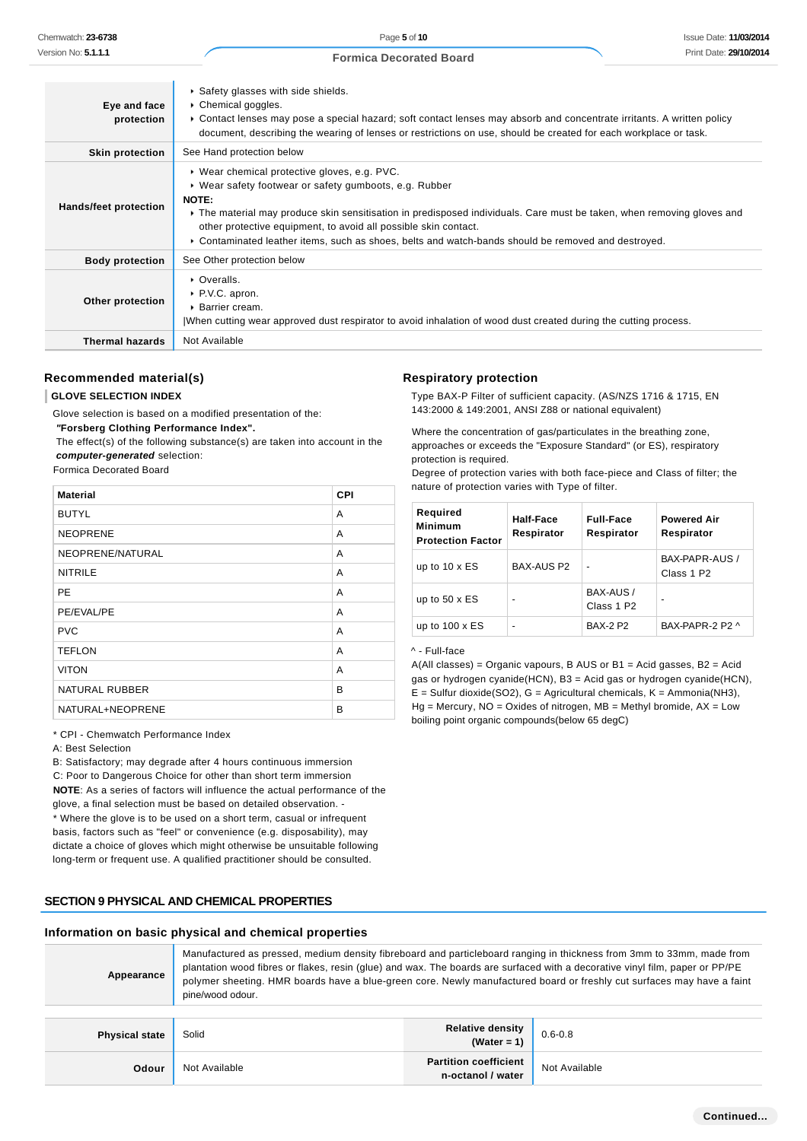| Eye and face<br>protection   | Safety glasses with side shields.<br>▶ Chemical goggles.<br>► Contact lenses may pose a special hazard; soft contact lenses may absorb and concentrate irritants. A written policy<br>document, describing the wearing of lenses or restrictions on use, should be created for each workplace or task.                                                                                                            |
|------------------------------|-------------------------------------------------------------------------------------------------------------------------------------------------------------------------------------------------------------------------------------------------------------------------------------------------------------------------------------------------------------------------------------------------------------------|
| <b>Skin protection</b>       | See Hand protection below                                                                                                                                                                                                                                                                                                                                                                                         |
| <b>Hands/feet protection</b> | ▶ Wear chemical protective gloves, e.g. PVC.<br>▶ Wear safety footwear or safety gumboots, e.g. Rubber<br>NOTE:<br>The material may produce skin sensitisation in predisposed individuals. Care must be taken, when removing gloves and<br>other protective equipment, to avoid all possible skin contact.<br>► Contaminated leather items, such as shoes, belts and watch-bands should be removed and destroyed. |
| <b>Body protection</b>       | See Other protection below                                                                                                                                                                                                                                                                                                                                                                                        |
| Other protection             | • Overalls.<br>▶ P.V.C. apron.<br>$\triangleright$ Barrier cream.<br>When cutting wear approved dust respirator to avoid inhalation of wood dust created during the cutting process.                                                                                                                                                                                                                              |
| <b>Thermal hazards</b>       | Not Available                                                                                                                                                                                                                                                                                                                                                                                                     |

# **Recommended material(s)**

#### **GLOVE SELECTION INDEX**

Glove selection is based on a modified presentation of the:

 **"Forsberg Clothing Performance Index".**

 The effect(s) of the following substance(s) are taken into account in the **computer-generated** selection:

#### Formica Decorated Board

| <b>Material</b>       | CPI |
|-----------------------|-----|
| <b>BUTYL</b>          | A   |
| <b>NEOPRENE</b>       | A   |
| NEOPRENE/NATURAL      | A   |
| <b>NITRILE</b>        | A   |
| PE                    | A   |
| PE/EVAL/PE            | A   |
| <b>PVC</b>            | A   |
| <b>TEFLON</b>         | A   |
| <b>VITON</b>          | A   |
| <b>NATURAL RUBBER</b> | B   |
| NATURAL+NEOPRENE      | B   |

\* CPI - Chemwatch Performance Index

A: Best Selection

B: Satisfactory; may degrade after 4 hours continuous immersion C: Poor to Dangerous Choice for other than short term immersion **NOTE**: As a series of factors will influence the actual performance of the glove, a final selection must be based on detailed observation. - \* Where the glove is to be used on a short term, casual or infrequent basis, factors such as "feel" or convenience (e.g. disposability), may dictate a choice of gloves which might otherwise be unsuitable following

long-term or frequent use. A qualified practitioner should be consulted.

#### **SECTION 9 PHYSICAL AND CHEMICAL PROPERTIES**

#### **Information on basic physical and chemical properties**

| Manufactured as pressed, medium density fibreboard and particleboard ranging in thickness from 3mm to 33mm, made from<br>plantation wood fibres or flakes, resin (glue) and wax. The boards are surfaced with a decorative vinyl film, paper or PP/PE<br>Appearance<br>polymer sheeting. HMR boards have a blue-green core. Newly manufactured board or freshly cut surfaces may have a faint<br>pine/wood odour. |
|-------------------------------------------------------------------------------------------------------------------------------------------------------------------------------------------------------------------------------------------------------------------------------------------------------------------------------------------------------------------------------------------------------------------|
|-------------------------------------------------------------------------------------------------------------------------------------------------------------------------------------------------------------------------------------------------------------------------------------------------------------------------------------------------------------------------------------------------------------------|

| <b>Physical state</b> | Solid         | Relative density<br>(Water = 1)            | $0.6 - 0.8$   |
|-----------------------|---------------|--------------------------------------------|---------------|
| Odour                 | Not Available | Partition coefficient<br>n-octanol / water | Not Available |

## **Respiratory protection**

Type BAX-P Filter of sufficient capacity. (AS/NZS 1716 & 1715, EN 143:2000 & 149:2001, ANSI Z88 or national equivalent)

Where the concentration of gas/particulates in the breathing zone, approaches or exceeds the "Exposure Standard" (or ES), respiratory protection is required.

Degree of protection varies with both face-piece and Class of filter; the nature of protection varies with Type of filter.

| Required<br><b>Minimum</b><br><b>Protection Factor</b> | Half-Face<br>Respirator | <b>Full-Face</b><br>Respirator      | <b>Powered Air</b><br>Respirator         |
|--------------------------------------------------------|-------------------------|-------------------------------------|------------------------------------------|
| up to 10 x ES                                          | BAX-AUS P2              |                                     | BAX-PAPR-AUS /<br>Class 1 P <sub>2</sub> |
| up to $50 \times ES$                                   | $\blacksquare$          | BAX-AUS /<br>Class 1 P <sub>2</sub> | -                                        |
| up to $100 \times ES$                                  | $\blacksquare$          | <b>BAX-2 P2</b>                     | BAX-PAPR-2 P2 ^                          |

#### ^ - Full-face

A(All classes) = Organic vapours, B AUS or B1 = Acid gasses, B2 = Acid gas or hydrogen cyanide(HCN), B3 = Acid gas or hydrogen cyanide(HCN),  $E =$  Sulfur dioxide(SO2), G = Agricultural chemicals, K = Ammonia(NH3),  $Hg =$  Mercury,  $NO =$  Oxides of nitrogen,  $MB =$  Methyl bromide,  $AX =$  Low boiling point organic compounds(below 65 degC)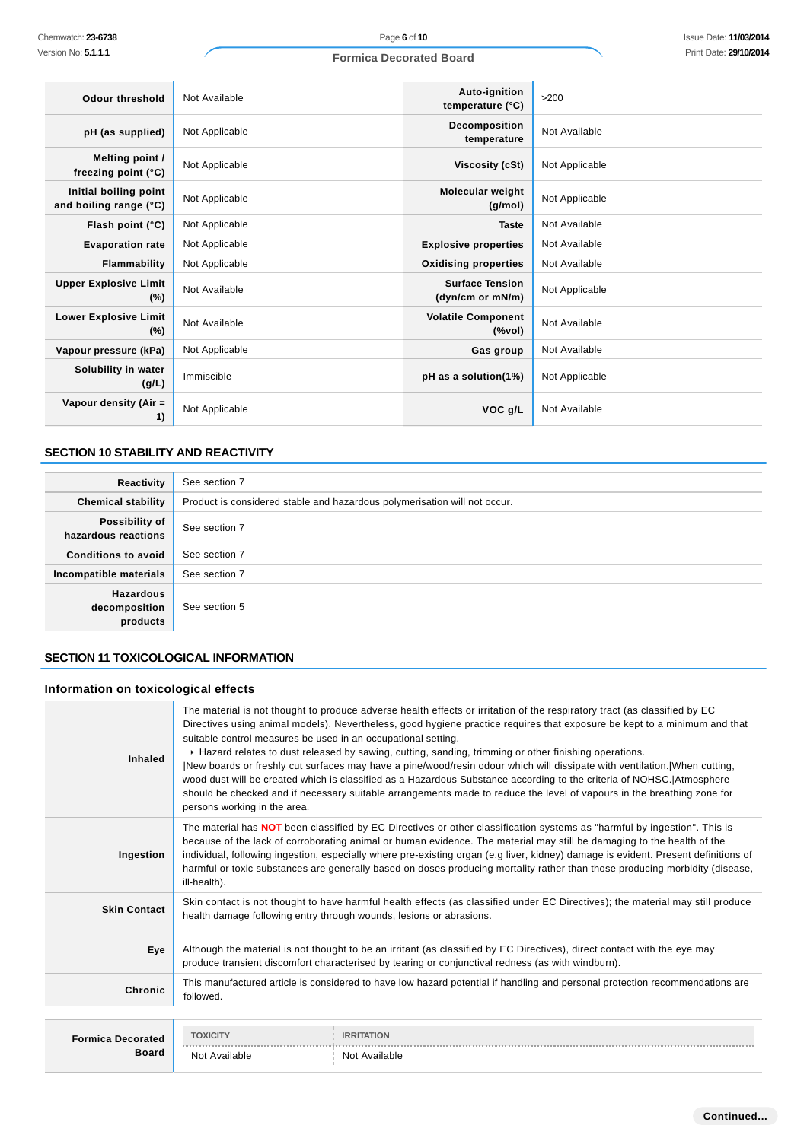| Odour threshold                                 | Not Available  | Auto-ignition<br>temperature (°C)          | >200           |
|-------------------------------------------------|----------------|--------------------------------------------|----------------|
| pH (as supplied)                                | Not Applicable | Decomposition<br>temperature               | Not Available  |
| Melting point /<br>freezing point $(°C)$        | Not Applicable | Viscosity (cSt)                            | Not Applicable |
| Initial boiling point<br>and boiling range (°C) | Not Applicable | <b>Molecular weight</b><br>(g/mol)         | Not Applicable |
| Flash point $(°C)$                              | Not Applicable | <b>Taste</b>                               | Not Available  |
| <b>Evaporation rate</b>                         | Not Applicable | <b>Explosive properties</b>                | Not Available  |
| Flammability                                    | Not Applicable | <b>Oxidising properties</b>                | Not Available  |
| <b>Upper Explosive Limit</b><br>$(\%)$          | Not Available  | <b>Surface Tension</b><br>(dyn/cm or mN/m) | Not Applicable |
| <b>Lower Explosive Limit</b><br>$(\%)$          | Not Available  | <b>Volatile Component</b><br>$(\%$ vol)    | Not Available  |
| Vapour pressure (kPa)                           | Not Applicable | Gas group                                  | Not Available  |
| Solubility in water<br>(g/L)                    | Immiscible     | pH as a solution(1%)                       | Not Applicable |
| Vapour density (Air =<br>1)                     | Not Applicable | VOC g/L                                    | Not Available  |

# **SECTION 10 STABILITY AND REACTIVITY**

| Reactivity                                    | See section 7                                                             |
|-----------------------------------------------|---------------------------------------------------------------------------|
| <b>Chemical stability</b>                     | Product is considered stable and hazardous polymerisation will not occur. |
| Possibility of<br>hazardous reactions         | See section 7                                                             |
| <b>Conditions to avoid</b>                    | See section 7                                                             |
| Incompatible materials                        | See section 7                                                             |
| <b>Hazardous</b><br>decomposition<br>products | See section 5                                                             |

# **SECTION 11 TOXICOLOGICAL INFORMATION**

# **Information on toxicological effects**

| Inhaled             | The material is not thought to produce adverse health effects or irritation of the respiratory tract (as classified by EC<br>Directives using animal models). Nevertheless, good hygiene practice requires that exposure be kept to a minimum and that<br>suitable control measures be used in an occupational setting.<br>► Hazard relates to dust released by sawing, cutting, sanding, trimming or other finishing operations.<br>[New boards or freshly cut surfaces may have a pine/wood/resin odour which will dissipate with ventilation.]When cutting,<br>wood dust will be created which is classified as a Hazardous Substance according to the criteria of NOHSC. Atmosphere<br>should be checked and if necessary suitable arrangements made to reduce the level of vapours in the breathing zone for<br>persons working in the area. |
|---------------------|---------------------------------------------------------------------------------------------------------------------------------------------------------------------------------------------------------------------------------------------------------------------------------------------------------------------------------------------------------------------------------------------------------------------------------------------------------------------------------------------------------------------------------------------------------------------------------------------------------------------------------------------------------------------------------------------------------------------------------------------------------------------------------------------------------------------------------------------------|
| Ingestion           | The material has NOT been classified by EC Directives or other classification systems as "harmful by ingestion". This is<br>because of the lack of corroborating animal or human evidence. The material may still be damaging to the health of the<br>individual, following ingestion, especially where pre-existing organ (e.g liver, kidney) damage is evident. Present definitions of<br>harmful or toxic substances are generally based on doses producing mortality rather than those producing morbidity (disease,<br>ill-health).                                                                                                                                                                                                                                                                                                          |
| <b>Skin Contact</b> | Skin contact is not thought to have harmful health effects (as classified under EC Directives); the material may still produce<br>health damage following entry through wounds, lesions or abrasions.                                                                                                                                                                                                                                                                                                                                                                                                                                                                                                                                                                                                                                             |
| Eye                 | Although the material is not thought to be an irritant (as classified by EC Directives), direct contact with the eye may<br>produce transient discomfort characterised by tearing or conjunctival redness (as with windburn).                                                                                                                                                                                                                                                                                                                                                                                                                                                                                                                                                                                                                     |
| <b>Chronic</b>      | This manufactured article is considered to have low hazard potential if handling and personal protection recommendations are<br>followed.                                                                                                                                                                                                                                                                                                                                                                                                                                                                                                                                                                                                                                                                                                         |
|                     |                                                                                                                                                                                                                                                                                                                                                                                                                                                                                                                                                                                                                                                                                                                                                                                                                                                   |

| <b>Formica Decorated</b> | <b>TOXICITY</b><br><b>IRRITATION</b> |               |
|--------------------------|--------------------------------------|---------------|
| Board                    | ------------<br>Not Available        | Not Available |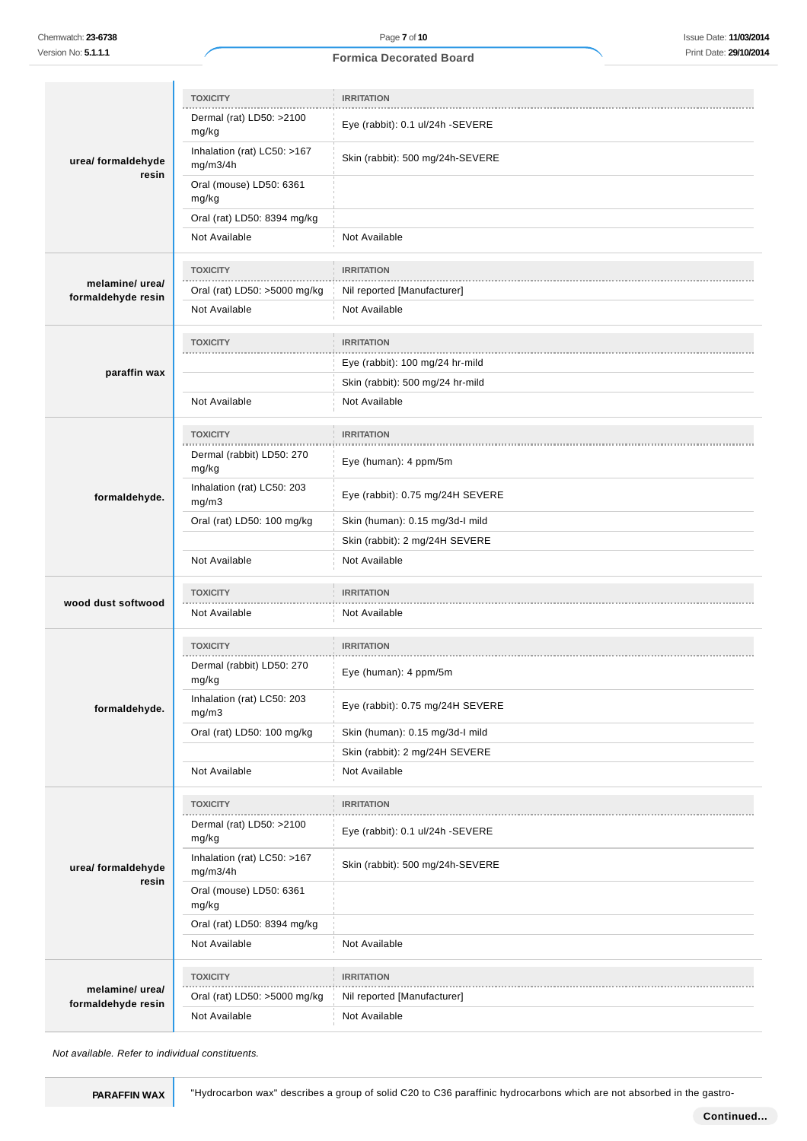|                             | <b>TOXICITY</b>                               | <b>IRRITATION</b>                            |  |
|-----------------------------|-----------------------------------------------|----------------------------------------------|--|
| urea/ formaldehyde<br>resin | Dermal (rat) LD50: >2100                      |                                              |  |
|                             | mg/kg                                         | Eye (rabbit): 0.1 ul/24h -SEVERE             |  |
|                             | Inhalation (rat) LC50: >167<br>mg/m3/4h       | Skin (rabbit): 500 mg/24h-SEVERE             |  |
|                             | Oral (mouse) LD50: 6361<br>mg/kg              |                                              |  |
|                             | Oral (rat) LD50: 8394 mg/kg                   |                                              |  |
|                             | Not Available                                 | Not Available                                |  |
|                             | <b>TOXICITY</b>                               | <b>IRRITATION</b>                            |  |
| melamine/ urea/             | Oral (rat) LD50: >5000 mg/kg                  | Nil reported [Manufacturer]                  |  |
| formaldehyde resin          | Not Available                                 | Not Available                                |  |
|                             |                                               |                                              |  |
|                             | <b>TOXICITY</b>                               | <b>IRRITATION</b>                            |  |
| paraffin wax                |                                               | Eye (rabbit): 100 mg/24 hr-mild              |  |
|                             |                                               | Skin (rabbit): 500 mg/24 hr-mild             |  |
|                             | Not Available                                 | Not Available                                |  |
|                             | <b>TOXICITY</b>                               | <b>IRRITATION</b>                            |  |
|                             | Dermal (rabbit) LD50: 270<br>mg/kg            | Eye (human): 4 ppm/5m                        |  |
| formaldehyde.               | Inhalation (rat) LC50: 203<br>mg/m3           | Eye (rabbit): 0.75 mg/24H SEVERE             |  |
|                             | Oral (rat) LD50: 100 mg/kg                    | Skin (human): 0.15 mg/3d-I mild              |  |
|                             |                                               | Skin (rabbit): 2 mg/24H SEVERE               |  |
|                             |                                               |                                              |  |
|                             | Not Available                                 | Not Available                                |  |
|                             | <b>TOXICITY</b>                               | <b>IRRITATION</b>                            |  |
| wood dust softwood          | Not Available                                 | Not Available                                |  |
|                             |                                               |                                              |  |
|                             | <b>TOXICITY</b><br>.                          | <b>IRRITATION</b>                            |  |
|                             | Dermal (rabbit) LD50: 270<br>mg/kg            | Eye (human): 4 ppm/5m                        |  |
| formaldehyde.               | Inhalation (rat) LC50: 203<br>mg/m3           | Eye (rabbit): 0.75 mg/24H SEVERE             |  |
|                             | Oral (rat) LD50: 100 mg/kg                    | Skin (human): 0.15 mg/3d-l mild              |  |
|                             |                                               | Skin (rabbit): 2 mg/24H SEVERE               |  |
|                             | Not Available                                 | Not Available                                |  |
|                             | <b>TOXICITY</b>                               | <b>IRRITATION</b>                            |  |
|                             | Dermal (rat) LD50: >2100<br>mg/kg             | Eye (rabbit): 0.1 ul/24h -SEVERE             |  |
| urea/ formaldehyde          | Inhalation (rat) LC50: >167<br>mg/m3/4h       | Skin (rabbit): 500 mg/24h-SEVERE             |  |
| resin                       | Oral (mouse) LD50: 6361<br>mg/kg              |                                              |  |
|                             | Oral (rat) LD50: 8394 mg/kg                   |                                              |  |
|                             | Not Available                                 | Not Available                                |  |
|                             |                                               |                                              |  |
| melamine/ urea/             | <b>TOXICITY</b>                               | <b>IRRITATION</b>                            |  |
| formaldehyde resin          | Oral (rat) LD50: >5000 mg/kg<br>Not Available | Nil reported [Manufacturer]<br>Not Available |  |

Not available. Refer to individual constituents.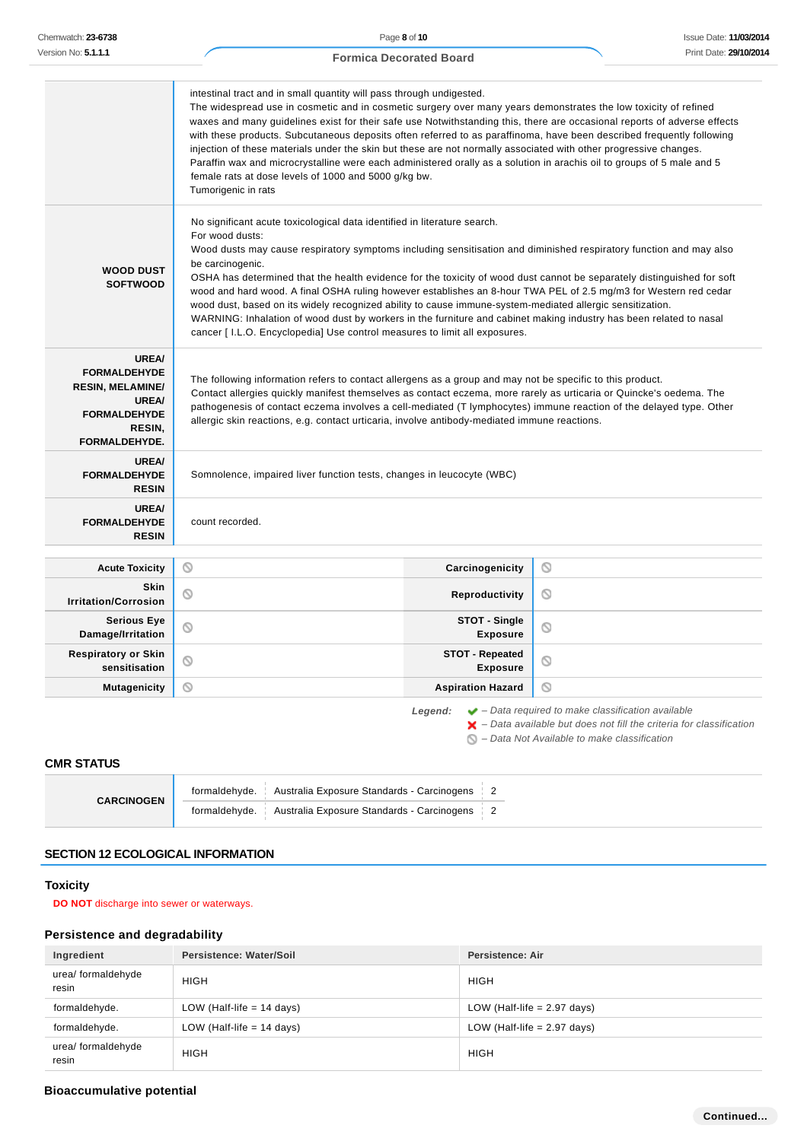| Version No: <b>5.1.1.1</b>                                                                                                       |                                                                                                                                                                                                                                                                                                                                                                                                                                                                                                                                                                                                                                                                                                                                                                                                     |                                            |             |                                  |                               |                                                                                                                                                                                                                              |
|----------------------------------------------------------------------------------------------------------------------------------|-----------------------------------------------------------------------------------------------------------------------------------------------------------------------------------------------------------------------------------------------------------------------------------------------------------------------------------------------------------------------------------------------------------------------------------------------------------------------------------------------------------------------------------------------------------------------------------------------------------------------------------------------------------------------------------------------------------------------------------------------------------------------------------------------------|--------------------------------------------|-------------|----------------------------------|-------------------------------|------------------------------------------------------------------------------------------------------------------------------------------------------------------------------------------------------------------------------|
|                                                                                                                                  | <b>Formica Decorated Board</b>                                                                                                                                                                                                                                                                                                                                                                                                                                                                                                                                                                                                                                                                                                                                                                      |                                            |             | Print Date: 29/10/201            |                               |                                                                                                                                                                                                                              |
|                                                                                                                                  | intestinal tract and in small quantity will pass through undigested.<br>The widespread use in cosmetic and in cosmetic surgery over many years demonstrates the low toxicity of refined<br>waxes and many guidelines exist for their safe use Notwithstanding this, there are occasional reports of adverse effects<br>with these products. Subcutaneous deposits often referred to as paraffinoma, have been described frequently following<br>injection of these materials under the skin but these are not normally associated with other progressive changes.<br>Paraffin wax and microcrystalline were each administered orally as a solution in arachis oil to groups of 5 male and 5<br>female rats at dose levels of 1000 and 5000 g/kg bw.<br>Tumorigenic in rats                          |                                            |             |                                  |                               |                                                                                                                                                                                                                              |
| <b>WOOD DUST</b><br><b>SOFTWOOD</b>                                                                                              | No significant acute toxicological data identified in literature search.<br>For wood dusts:<br>Wood dusts may cause respiratory symptoms including sensitisation and diminished respiratory function and may also<br>be carcinogenic.<br>OSHA has determined that the health evidence for the toxicity of wood dust cannot be separately distinguished for soft<br>wood and hard wood. A final OSHA ruling however establishes an 8-hour TWA PEL of 2.5 mg/m3 for Western red cedar<br>wood dust, based on its widely recognized ability to cause immune-system-mediated allergic sensitization.<br>WARNING: Inhalation of wood dust by workers in the furniture and cabinet making industry has been related to nasal<br>cancer [I.L.O. Encyclopedia] Use control measures to limit all exposures. |                                            |             |                                  |                               |                                                                                                                                                                                                                              |
| <b>UREA/</b><br><b>FORMALDEHYDE</b><br><b>RESIN, MELAMINE/</b><br><b>UREA/</b><br><b>FORMALDEHYDE</b><br>RESIN,<br>FORMALDEHYDE. | The following information refers to contact allergens as a group and may not be specific to this product.<br>Contact allergies quickly manifest themselves as contact eczema, more rarely as urticaria or Quincke's oedema. The<br>pathogenesis of contact eczema involves a cell-mediated (T lymphocytes) immune reaction of the delayed type. Other<br>allergic skin reactions, e.g. contact urticaria, involve antibody-mediated immune reactions.                                                                                                                                                                                                                                                                                                                                               |                                            |             |                                  |                               |                                                                                                                                                                                                                              |
| <b>UREA/</b><br><b>FORMALDEHYDE</b><br><b>RESIN</b>                                                                              | Somnolence, impaired liver function tests, changes in leucocyte (WBC)                                                                                                                                                                                                                                                                                                                                                                                                                                                                                                                                                                                                                                                                                                                               |                                            |             |                                  |                               |                                                                                                                                                                                                                              |
| <b>UREA/</b><br><b>FORMALDEHYDE</b><br><b>RESIN</b>                                                                              | count recorded.                                                                                                                                                                                                                                                                                                                                                                                                                                                                                                                                                                                                                                                                                                                                                                                     |                                            |             |                                  |                               |                                                                                                                                                                                                                              |
| <b>Acute Toxicity</b>                                                                                                            | O                                                                                                                                                                                                                                                                                                                                                                                                                                                                                                                                                                                                                                                                                                                                                                                                   |                                            |             | Carcinogenicity                  | O                             |                                                                                                                                                                                                                              |
| <b>Skin</b><br><b>Irritation/Corrosion</b>                                                                                       | Q                                                                                                                                                                                                                                                                                                                                                                                                                                                                                                                                                                                                                                                                                                                                                                                                   |                                            |             | Reproductivity                   | O                             |                                                                                                                                                                                                                              |
| <b>Serious Eye</b><br>Damage/Irritation                                                                                          | ⊚                                                                                                                                                                                                                                                                                                                                                                                                                                                                                                                                                                                                                                                                                                                                                                                                   |                                            |             | STOT - Single<br><b>Exposure</b> | Q                             |                                                                                                                                                                                                                              |
| <b>Respiratory or Skin</b><br>sensitisation                                                                                      | <b>STOT - Repeated</b><br>O<br>O<br><b>Exposure</b>                                                                                                                                                                                                                                                                                                                                                                                                                                                                                                                                                                                                                                                                                                                                                 |                                            |             |                                  |                               |                                                                                                                                                                                                                              |
| <b>Mutagenicity</b>                                                                                                              | Q                                                                                                                                                                                                                                                                                                                                                                                                                                                                                                                                                                                                                                                                                                                                                                                                   |                                            |             | <b>Aspiration Hazard</b>         | O                             |                                                                                                                                                                                                                              |
| <b>CMR STATUS</b>                                                                                                                |                                                                                                                                                                                                                                                                                                                                                                                                                                                                                                                                                                                                                                                                                                                                                                                                     |                                            | Legend:     |                                  |                               | $\blacktriangleright$ - Data required to make classification available<br>$\blacktriangleright$ - Data available but does not fill the criteria for classification<br>$\bigcirc$ – Data Not Available to make classification |
|                                                                                                                                  | formaldehyde.                                                                                                                                                                                                                                                                                                                                                                                                                                                                                                                                                                                                                                                                                                                                                                                       | Australia Exposure Standards - Carcinogens |             | $\overline{2}$                   |                               |                                                                                                                                                                                                                              |
| <b>CARCINOGEN</b>                                                                                                                | formaldehyde.                                                                                                                                                                                                                                                                                                                                                                                                                                                                                                                                                                                                                                                                                                                                                                                       | Australia Exposure Standards - Carcinogens |             | $\overline{2}$                   |                               |                                                                                                                                                                                                                              |
| <b>SECTION 12 ECOLOGICAL INFORMATION</b>                                                                                         |                                                                                                                                                                                                                                                                                                                                                                                                                                                                                                                                                                                                                                                                                                                                                                                                     |                                            |             |                                  |                               |                                                                                                                                                                                                                              |
| <b>Toxicity</b><br><b>DO NOT</b> discharge into sewer or waterways.                                                              |                                                                                                                                                                                                                                                                                                                                                                                                                                                                                                                                                                                                                                                                                                                                                                                                     |                                            |             |                                  |                               |                                                                                                                                                                                                                              |
| Persistence and degradability                                                                                                    |                                                                                                                                                                                                                                                                                                                                                                                                                                                                                                                                                                                                                                                                                                                                                                                                     |                                            |             |                                  |                               |                                                                                                                                                                                                                              |
| Ingredient                                                                                                                       | Persistence: Water/Soil                                                                                                                                                                                                                                                                                                                                                                                                                                                                                                                                                                                                                                                                                                                                                                             |                                            |             | <b>Persistence: Air</b>          |                               |                                                                                                                                                                                                                              |
| urea/ formaldehyde<br>resin                                                                                                      | <b>HIGH</b>                                                                                                                                                                                                                                                                                                                                                                                                                                                                                                                                                                                                                                                                                                                                                                                         |                                            |             | <b>HIGH</b>                      |                               |                                                                                                                                                                                                                              |
| formaldehyde.                                                                                                                    | LOW (Half-life $= 14$ days)                                                                                                                                                                                                                                                                                                                                                                                                                                                                                                                                                                                                                                                                                                                                                                         |                                            |             |                                  | LOW (Half-life $= 2.97$ days) |                                                                                                                                                                                                                              |
| formaldehyde.                                                                                                                    | LOW (Half-life $= 14$ days)                                                                                                                                                                                                                                                                                                                                                                                                                                                                                                                                                                                                                                                                                                                                                                         |                                            |             |                                  | LOW (Half-life $= 2.97$ days) |                                                                                                                                                                                                                              |
|                                                                                                                                  |                                                                                                                                                                                                                                                                                                                                                                                                                                                                                                                                                                                                                                                                                                                                                                                                     |                                            | <b>HIGH</b> |                                  |                               |                                                                                                                                                                                                                              |

# **SECTION 12 ECOLOGICAL INFORMATION**

# **Toxicity**

# **Persistence and degradability**

| Ingredient                  | Persistence: Water/Soil     | Persistence: Air              |  |
|-----------------------------|-----------------------------|-------------------------------|--|
| urea/ formaldehyde<br>resin | <b>HIGH</b>                 | <b>HIGH</b>                   |  |
| formaldehyde.               | LOW (Half-life $= 14$ days) | LOW (Half-life $= 2.97$ days) |  |
| formaldehyde.               | LOW (Half-life $= 14$ days) | LOW (Half-life $= 2.97$ days) |  |
| urea/ formaldehyde<br>resin | <b>HIGH</b>                 | <b>HIGH</b>                   |  |

# **Bioaccumulative potential**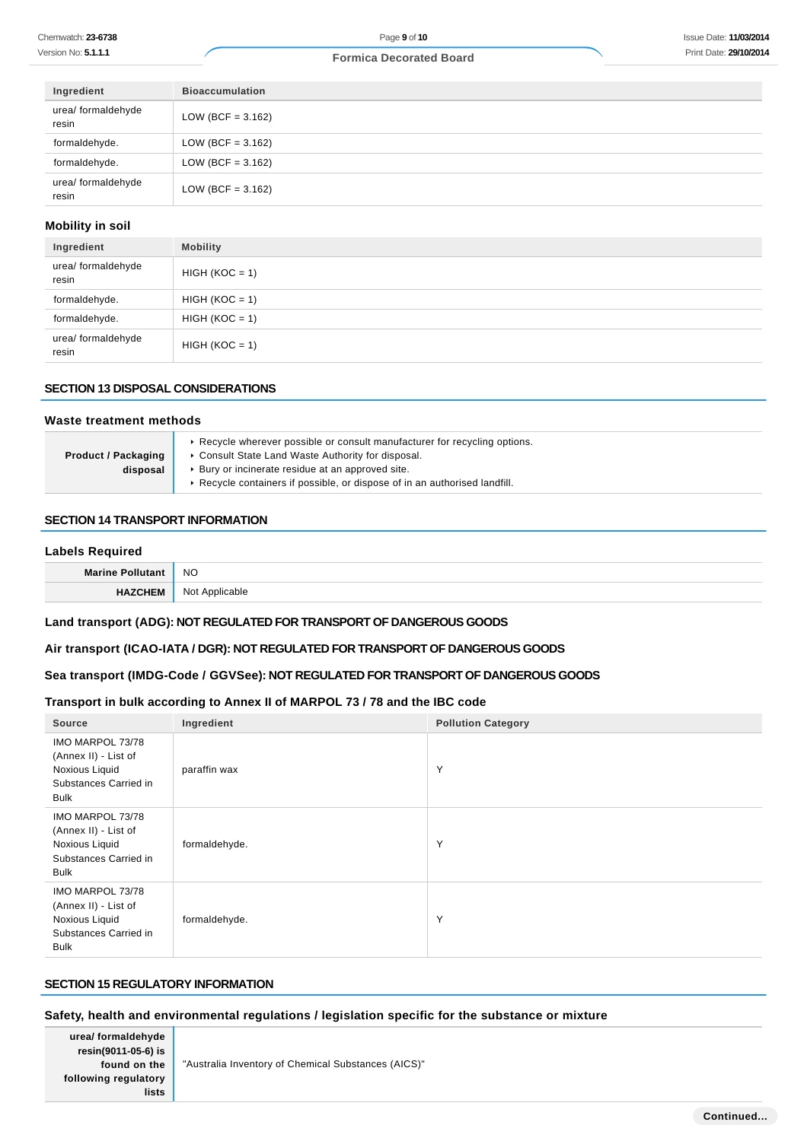| Ingredient                  | <b>Bioaccumulation</b> |
|-----------------------------|------------------------|
| urea/ formaldehyde<br>resin | $LOW (BCF = 3.162)$    |
| formaldehyde.               | $LOW (BCF = 3.162)$    |
| formaldehyde.               | $LOW (BCF = 3.162)$    |
| urea/ formaldehyde<br>resin | $LOW (BCF = 3.162)$    |

#### **Mobility in soil**

| Ingredient                  | <b>Mobility</b>  |
|-----------------------------|------------------|
| urea/ formaldehyde<br>resin | $HIGH (KOC = 1)$ |
| formaldehyde.               | $HIGH (KOC = 1)$ |
| formaldehyde.               | $HIGH (KOC = 1)$ |
| urea/ formaldehyde<br>resin | $HIGH (KOC = 1)$ |

#### **SECTION 13 DISPOSAL CONSIDERATIONS**

#### **Waste treatment methods**

| <b>Product / Packaging</b> | ► Recycle wherever possible or consult manufacturer for recycling options.<br>• Consult State Land Waste Authority for disposal. |  |  |
|----------------------------|----------------------------------------------------------------------------------------------------------------------------------|--|--|
| disposal                   | ▶ Bury or incinerate residue at an approved site.                                                                                |  |  |
|                            | ► Recycle containers if possible, or dispose of in an authorised landfill.                                                       |  |  |

# **SECTION 14 TRANSPORT INFORMATION**

#### **Labels Required**

| Marine | <b>NO</b>          |
|--------|--------------------|
|        | `Applicable<br>Not |

# **Land transport (ADG): NOT REGULATED FOR TRANSPORT OF DANGEROUS GOODS**

### **Air transport (ICAO-IATA / DGR): NOT REGULATED FOR TRANSPORT OF DANGEROUS GOODS**

# **Sea transport (IMDG-Code / GGVSee): NOT REGULATED FOR TRANSPORT OF DANGEROUS GOODS**

# **Transport in bulk according to Annex II of MARPOL 73 / 78 and the IBC code**

| Source                                                                                             | Ingredient    | <b>Pollution Category</b> |
|----------------------------------------------------------------------------------------------------|---------------|---------------------------|
| IMO MARPOL 73/78<br>(Annex II) - List of<br>Noxious Liquid<br>Substances Carried in<br><b>Bulk</b> | paraffin wax  | Y                         |
| IMO MARPOL 73/78<br>(Annex II) - List of<br>Noxious Liquid<br>Substances Carried in<br><b>Bulk</b> | formaldehyde. | Y                         |
| IMO MARPOL 73/78<br>(Annex II) - List of<br>Noxious Liquid<br>Substances Carried in<br><b>Bulk</b> | formaldehyde. | Y                         |

# **SECTION 15 REGULATORY INFORMATION**

# **Safety, health and environmental regulations / legislation specific for the substance or mixture**

| urea/ formaldehyde   |
|----------------------|
| resin(9011-05-6) is  |
| found on the         |
| following regulatory |
| lists                |

"Australia Inventory of Chemical Substances (AICS)"